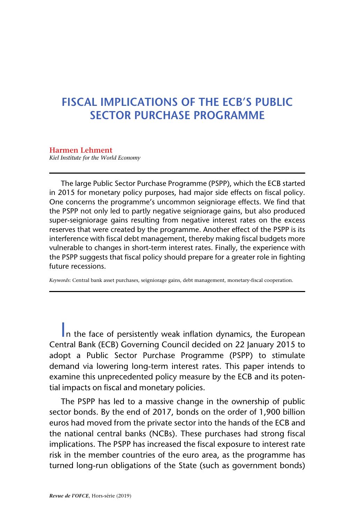# **FISCAL IMPLICATIONS OF THE ECB'S PUBLIC SECTOR PURCHASE PROGRAMME**

**Harmen Lehment** *Kiel Institute for the World Economy*

The large Public Sector Purchase Programme (PSPP), which the ECB started in 2015 for monetary policy purposes, had major side effects on fiscal policy. One concerns the programme's uncommon seigniorage effects. We find that the PSPP not only led to partly negative seigniorage gains, but also produced super-seigniorage gains resulting from negative interest rates on the excess reserves that were created by the programme. Another effect of the PSPP is its interference with fiscal debt management, thereby making fiscal budgets more vulnerable to changes in short-term interest rates. Finally, the experience with the PSPP suggests that fiscal policy should prepare for a greater role in fighting future recessions.

*Keywords*: Central bank asset purchases, seigniorage gains, debt management, monetary-fiscal cooperation.

In the face of persistently weak inflation dynamics, the European Central Bank (ECB) Governing Council decided on 22 January 2015 to adopt a Public Sector Purchase Programme (PSPP) to stimulate demand via lowering long-term interest rates. This paper intends to examine this unprecedented policy measure by the ECB and its potential impacts on fiscal and monetary policies.

The PSPP has led to a massive change in the ownership of public sector bonds. By the end of 2017, bonds on the order of 1,900 billion euros had moved from the private sector into the hands of the ECB and the national central banks (NCBs). These purchases had strong fiscal implications. The PSPP has increased the fiscal exposure to interest rate risk in the member countries of the euro area, as the programme has turned long-run obligations of the State (such as government bonds)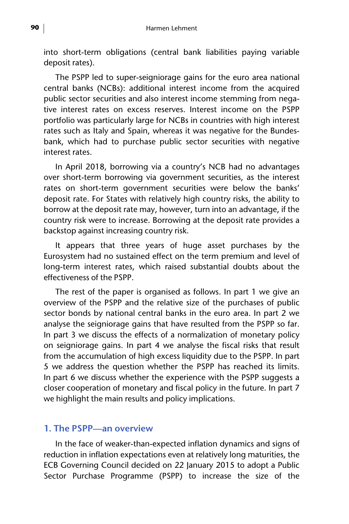into short-term obligations (central bank liabilities paying variable deposit rates).

The PSPP led to super-seigniorage gains for the euro area national central banks (NCBs): additional interest income from the acquired public sector securities and also interest income stemming from negative interest rates on excess reserves. Interest income on the PSPP portfolio was particularly large for NCBs in countries with high interest rates such as Italy and Spain, whereas it was negative for the Bundesbank, which had to purchase public sector securities with negative interest rates.

In April 2018, borrowing via a country's NCB had no advantages over short-term borrowing via government securities, as the interest rates on short-term government securities were below the banks' deposit rate. For States with relatively high country risks, the ability to borrow at the deposit rate may, however, turn into an advantage, if the country risk were to increase. Borrowing at the deposit rate provides a backstop against increasing country risk.

It appears that three years of huge asset purchases by the Eurosystem had no sustained effect on the term premium and level of long-term interest rates, which raised substantial doubts about the effectiveness of the PSPP.

The rest of the paper is organised as follows. In part 1 we give an overview of the PSPP and the relative size of the purchases of public sector bonds by national central banks in the euro area. In part 2 we analyse the seigniorage gains that have resulted from the PSPP so far. In part 3 we discuss the effects of a normalization of monetary policy on seigniorage gains. In part 4 we analyse the fiscal risks that result from the accumulation of high excess liquidity due to the PSPP. In part 5 we address the question whether the PSPP has reached its limits. In part 6 we discuss whether the experience with the PSPP suggests a closer cooperation of monetary and fiscal policy in the future. In part 7 we highlight the main results and policy implications.

#### **1. The PSPP—an overview**

In the face of weaker-than-expected inflation dynamics and signs of reduction in inflation expectations even at relatively long maturities, the ECB Governing Council decided on 22 January 2015 to adopt a Public Sector Purchase Programme (PSPP) to increase the size of the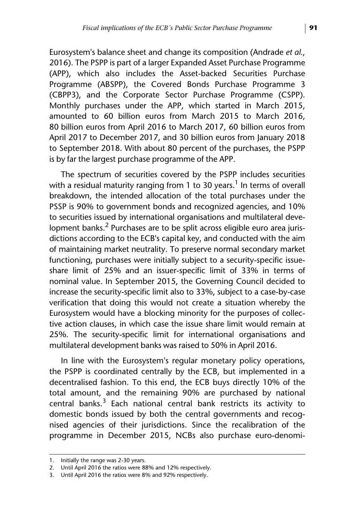Eurosystem's balance sheet and change its composition (Andrade *et al.*, 2016). The PSPP is part of a larger Expanded Asset Purchase Programme (APP), which also includes the Asset-backed Securities Purchase Programme (ABSPP), the Covered Bonds Purchase Programme 3 (CBPP3), and the Corporate Sector Purchase Programme (CSPP). Monthly purchases under the APP, which started in March 2015, amounted to 60 billion euros from March 2015 to March 2016, 80 billion euros from April 2016 to March 2017, 60 billion euros from April 2017 to December 2017, and 30 billion euros from January 2018 to September 2018. With about 80 percent of the purchases, the PSPP is by far the largest purchase programme of the APP.

The spectrum of securities covered by the PSPP includes securities with a residual maturity ranging from 1 to 30 years.<sup>1</sup> In terms of overall breakdown, the intended allocation of the total purchases under the PSSP is 90% to government bonds and recognized agencies, and 10% to securities issued by international organisations and multilateral development banks.<sup>2</sup> Purchases are to be split across eligible euro area jurisdictions according to the ECB's capital key, and conducted with the aim of maintaining market neutrality. To preserve normal secondary market functioning, purchases were initially subject to a security-specific issueshare limit of 25% and an issuer-specific limit of 33% in terms of nominal value. In September 2015, the Governing Council decided to increase the security-specific limit also to 33%, subject to a case-by-case verification that doing this would not create a situation whereby the Eurosystem would have a blocking minority for the purposes of collective action clauses, in which case the issue share limit would remain at 25%. The security-specific limit for international organisations and multilateral development banks was raised to 50% in April 2016.

In line with the Eurosystem's regular monetary policy operations, the PSPP is coordinated centrally by the ECB, but implemented in a decentralised fashion. To this end, the ECB buys directly 10% of the total amount, and the remaining 90% are purchased by national central banks. $3$  Each national central bank restricts its activity to domestic bonds issued by both the central governments and recognised agencies of their jurisdictions. Since the recalibration of the programme in December 2015, NCBs also purchase euro-denomi-

<sup>1.</sup> Initially the range was 2-30 years.

<sup>2.</sup> Until April 2016 the ratios were 88% and 12% respectively.

<sup>3.</sup> Until April 2016 the ratios were 8% and 92% respectively.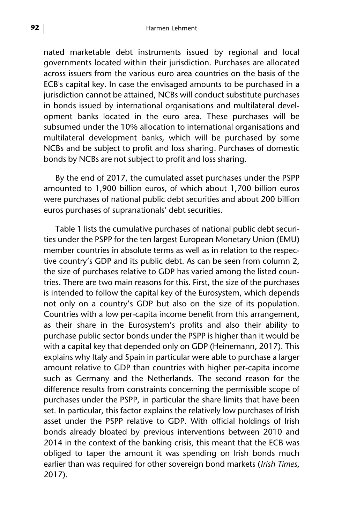nated marketable debt instruments issued by regional and local governments located within their jurisdiction. Purchases are allocated across issuers from the various euro area countries on the basis of the ECB's capital key. In case the envisaged amounts to be purchased in a jurisdiction cannot be attained, NCBs will conduct substitute purchases in bonds issued by international organisations and multilateral development banks located in the euro area. These purchases will be subsumed under the 10% allocation to international organisations and multilateral development banks, which will be purchased by some NCBs and be subject to profit and loss sharing. Purchases of domestic bonds by NCBs are not subject to profit and loss sharing.

By the end of 2017, the cumulated asset purchases under the PSPP amounted to 1,900 billion euros, of which about 1,700 billion euros were purchases of national public debt securities and about 200 billion euros purchases of supranationals' debt securities.

Table 1 lists the cumulative purchases of national public debt securities under the PSPP for the ten largest European Monetary Union (EMU) member countries in absolute terms as well as in relation to the respective country's GDP and its public debt. As can be seen from column 2, the size of purchases relative to GDP has varied among the listed countries. There are two main reasons for this. First, the size of the purchases is intended to follow the capital key of the Eurosystem, which depends not only on a country's GDP but also on the size of its population. Countries with a low per-capita income benefit from this arrangement, as their share in the Eurosystem's profits and also their ability to purchase public sector bonds under the PSPP is higher than it would be with a capital key that depended only on GDP (Heinemann, 2017). This explains why Italy and Spain in particular were able to purchase a larger amount relative to GDP than countries with higher per-capita income such as Germany and the Netherlands. The second reason for the difference results from constraints concerning the permissible scope of purchases under the PSPP, in particular the share limits that have been set. In particular, this factor explains the relatively low purchases of Irish asset under the PSPP relative to GDP. With official holdings of Irish bonds already bloated by previous interventions between 2010 and 2014 in the context of the banking crisis, this meant that the ECB was obliged to taper the amount it was spending on Irish bonds much earlier than was required for other sovereign bond markets (*Irish Times*, 2017).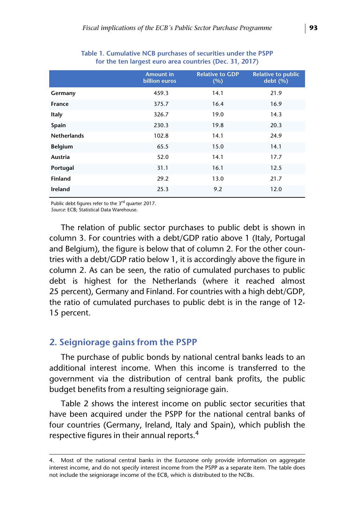|                    | <b>Amount in</b><br><b>billion</b> euros | <b>Relative to GDP</b><br>(%) | <b>Relative to public</b><br>debt(%) |
|--------------------|------------------------------------------|-------------------------------|--------------------------------------|
| Germany            | 459.3                                    | 14.1                          | 21.9                                 |
| <b>France</b>      | 375.7                                    | 16.4                          | 16.9                                 |
| Italy              | 326.7                                    | 19.0                          | 14.3                                 |
| Spain              | 230.3                                    | 19.8                          | 20.3                                 |
| <b>Netherlands</b> | 102.8                                    | 14.1                          | 24.9                                 |
| <b>Belgium</b>     | 65.5                                     | 15.0                          | 14.1                                 |
| Austria            | 52.0                                     | 14.1                          | 17.7                                 |
| Portugal           | 31.1                                     | 16.1                          | 12.5                                 |
| <b>Finland</b>     | 29.2                                     | 13.0                          | 21.7                                 |
| Ireland            | 25.3                                     | 9.2                           | 12.0                                 |

**Table 1. Cumulative NCB purchases of securities under the PSPP for the ten largest euro area countries (Dec. 31, 2017)**

Public debt figures refer to the 3rd quarter 2017.

*Source*: ECB; Statistical Data Warehouse.

The relation of public sector purchases to public debt is shown in column 3. For countries with a debt/GDP ratio above 1 (Italy, Portugal and Belgium), the figure is below that of column 2. For the other countries with a debt/GDP ratio below 1, it is accordingly above the figure in column 2. As can be seen, the ratio of cumulated purchases to public debt is highest for the Netherlands (where it reached almost 25 percent), Germany and Finland. For countries with a high debt/GDP, the ratio of cumulated purchases to public debt is in the range of 12- 15 percent.

#### **2. Seigniorage gains from the PSPP**

The purchase of public bonds by national central banks leads to an additional interest income. When this income is transferred to the government via the distribution of central bank profits, the public budget benefits from a resulting seigniorage gain.

Table 2 shows the interest income on public sector securities that have been acquired under the PSPP for the national central banks of four countries (Germany, Ireland, Italy and Spain), which publish the respective figures in their annual reports.4

<sup>4.</sup> Most of the national central banks in the Eurozone only provide information on aggregate interest income, and do not specify interest income from the PSPP as a separate item. The table does not include the seigniorage income of the ECB, which is distributed to the NCBs.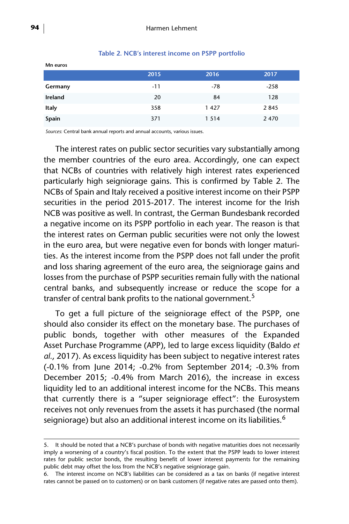|         | 2015  | 2016    | 2017    |
|---------|-------|---------|---------|
| Germany | $-11$ | $-78$   | $-258$  |
| Ireland | 20    | 84      | 128     |
| Italy   | 358   | 1427    | 2845    |
| Spain   | 371   | 1 5 1 4 | 2 4 7 0 |

#### **Table 2. NCB's interest income on PSPP portfolio**

*Sources*: Central bank annual reports and annual accounts, various issues.

The interest rates on public sector securities vary substantially among the member countries of the euro area. Accordingly, one can expect that NCBs of countries with relatively high interest rates experienced particularly high seigniorage gains. This is confirmed by Table 2. The NCBs of Spain and Italy received a positive interest income on their PSPP securities in the period 2015-2017. The interest income for the Irish NCB was positive as well. In contrast, the German Bundesbank recorded a negative income on its PSPP portfolio in each year. The reason is that the interest rates on German public securities were not only the lowest in the euro area, but were negative even for bonds with longer maturities. As the interest income from the PSPP does not fall under the profit and loss sharing agreement of the euro area, the seigniorage gains and losses from the purchase of PSPP securities remain fully with the national central banks, and subsequently increase or reduce the scope for a transfer of central bank profits to the national government.<sup>5</sup>

To get a full picture of the seigniorage effect of the PSPP, one should also consider its effect on the monetary base. The purchases of public bonds, together with other measures of the Expanded Asset Purchase Programme (APP), led to large excess liquidity (Baldo *et al.*, 2017). As excess liquidity has been subject to negative interest rates (-0.1% from June 2014; -0.2% from September 2014; -0.3% from December 2015; -0.4% from March 2016), the increase in excess liquidity led to an additional interest income for the NCBs. This means that currently there is a "super seigniorage effect": the Eurosystem receives not only revenues from the assets it has purchased (the normal seigniorage) but also an additional interest income on its liabilities.<sup>6</sup>

**Mn euros**

<sup>5.</sup> It should be noted that a NCB's purchase of bonds with negative maturities does not necessarily imply a worsening of a country's fiscal position. To the extent that the PSPP leads to lower interest rates for public sector bonds, the resulting benefit of lower interest payments for the remaining public debt may offset the loss from the NCB's negative seigniorage gain.

<sup>6.</sup> The interest income on NCB's liabilities can be considered as a tax on banks (if negative interest rates cannot be passed on to customers) or on bank customers (if negative rates are passed onto them).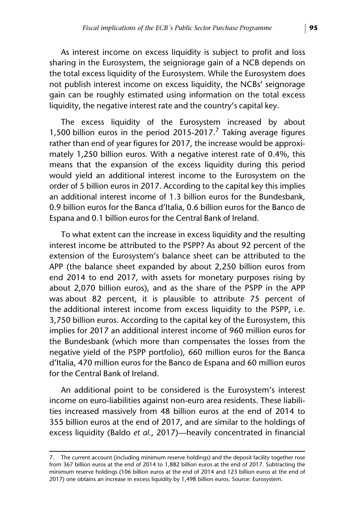As interest income on excess liquidity is subject to profit and loss sharing in the Eurosystem, the seigniorage gain of a NCB depends on the total excess liquidity of the Eurosystem. While the Eurosystem does not publish interest income on excess liquidity, the NCBs' seignorage gain can be roughly estimated using information on the total excess liquidity, the negative interest rate and the country's capital key.

The excess liquidity of the Eurosystem increased by about 1,500 billion euros in the period 2015-2017.<sup>7</sup> Taking average figures rather than end of year figures for 2017, the increase would be approximately 1,250 billion euros. With a negative interest rate of 0.4%, this means that the expansion of the excess liquidity during this period would yield an additional interest income to the Eurosystem on the order of 5 billion euros in 2017. According to the capital key this implies an additional interest income of 1.3 billion euros for the Bundesbank, 0.9 billion euros for the Banca d'Italia, 0.6 billion euros for the Banco de Espana and 0.1 billion euros for the Central Bank of Ireland.

To what extent can the increase in excess liquidity and the resulting interest income be attributed to the PSPP? As about 92 percent of the extension of the Eurosystem's balance sheet can be attributed to the APP (the balance sheet expanded by about 2,250 billion euros from end 2014 to end 2017, with assets for monetary purposes rising by about 2,070 billion euros), and as the share of the PSPP in the APP was about 82 percent, it is plausible to attribute 75 percent of the additional interest income from excess liquidity to the PSPP, i.e. 3,750 billion euros. According to the capital key of the Eurosystem, this implies for 2017 an additional interest income of 960 million euros for the Bundesbank (which more than compensates the losses from the negative yield of the PSPP portfolio), 660 million euros for the Banca d'Italia, 470 million euros for the Banco de Espana and 60 million euros for the Central Bank of Ireland.

An additional point to be considered is the Eurosystem's interest income on euro-liabilities against non-euro area residents. These liabilities increased massively from 48 billion euros at the end of 2014 to 355 billion euros at the end of 2017, and are similar to the holdings of excess liquidity (Baldo *et al.*, 2017)—heavily concentrated in financial

<sup>7.</sup> The current account (including minimum reserve holdings) and the deposit facility together rose from 367 billion euros at the end of 2014 to 1,882 billion euros at the end of 2017. Subtracting the minimum reserve holdings (106 billion euros at the end of 2014 and 123 billion euros at the end of 2017) one obtains an increase in excess liquidity by 1,498 billion euros. Source: Eurosystem.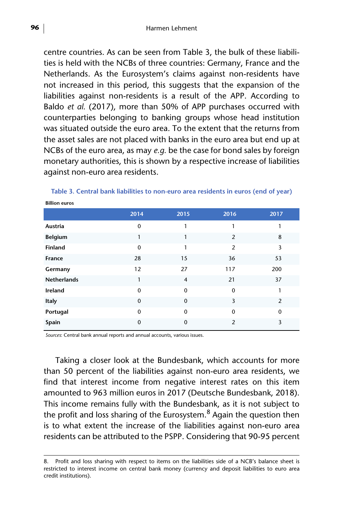centre countries. As can be seen from Table 3, the bulk of these liabilities is held with the NCBs of three countries: Germany, France and the Netherlands. As the Eurosystem's claims against non-residents have not increased in this period, this suggests that the expansion of the liabilities against non-residents is a result of the APP. According to Baldo *et al.* (2017), more than 50% of APP purchases occurred with counterparties belonging to banking groups whose head institution was situated outside the euro area. To the extent that the returns from the asset sales are not placed with banks in the euro area but end up at NCBs of the euro area, as may *e.g.* be the case for bond sales by foreign monetary authorities, this is shown by a respective increase of liabilities against non-euro area residents.

| <b>DILION CUIOS</b> |             |                |                |                |  |  |  |
|---------------------|-------------|----------------|----------------|----------------|--|--|--|
|                     | 2014        | 2015           | 2016           | 2017           |  |  |  |
| Austria             | $\mathbf 0$ | 1              | 1              |                |  |  |  |
| <b>Belgium</b>      | 1           | 1              | $\overline{2}$ | 8              |  |  |  |
| <b>Finland</b>      | $\mathbf 0$ | 1              | $\overline{2}$ | 3              |  |  |  |
| France              | 28          | 15             | 36             | 53             |  |  |  |
| Germany             | 12          | 27             | 117            | 200            |  |  |  |
| <b>Netherlands</b>  | 1           | $\overline{4}$ | 21             | 37             |  |  |  |
| Ireland             | $\mathbf 0$ | $\Omega$       | $\mathbf 0$    | 1              |  |  |  |
| Italy               | $\mathbf 0$ | $\Omega$       | 3              | $\overline{2}$ |  |  |  |
| Portugal            | $\mathbf 0$ | $\mathbf 0$    | $\mathbf 0$    | $\Omega$       |  |  |  |
| Spain               | 0           | $\Omega$       | $\overline{2}$ | 3              |  |  |  |

# **Table 3. Central bank liabilities to non-euro area residents in euros (end of year)**

*Sources*: Central bank annual reports and annual accounts, various issues.

Taking a closer look at the Bundesbank, which accounts for more than 50 percent of the liabilities against non-euro area residents, we find that interest income from negative interest rates on this item amounted to 963 million euros in 2017 (Deutsche Bundesbank, 2018). This income remains fully with the Bundesbank, as it is not subject to the profit and loss sharing of the Eurosystem.<sup>8</sup> Again the question then is to what extent the increase of the liabilities against non-euro area residents can be attributed to the PSPP. Considering that 90-95 percent

**Billion euros**

<sup>8.</sup> Profit and loss sharing with respect to items on the liabilities side of a NCB's balance sheet is restricted to interest income on central bank money (currency and deposit liabilities to euro area credit institutions).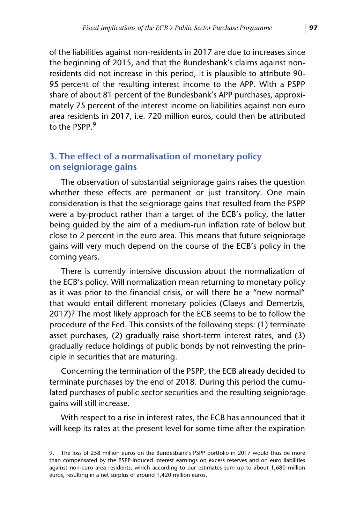of the liabilities against non-residents in 2017 are due to increases since the beginning of 2015, and that the Bundesbank's claims against nonresidents did not increase in this period, it is plausible to attribute 90- 95 percent of the resulting interest income to the APP. With a PSPP share of about 81 percent of the Bundesbank's APP purchases, approximately 75 percent of the interest income on liabilities against non euro area residents in 2017, i.e. 720 million euros, could then be attributed to the PSPP<sup>9</sup>

# **3. The effect of a normalisation of monetary policy on seigniorage gains**

The observation of substantial seigniorage gains raises the question whether these effects are permanent or just transitory. One main consideration is that the seigniorage gains that resulted from the PSPP were a by-product rather than a target of the ECB's policy, the latter being guided by the aim of a medium-run inflation rate of below but close to 2 percent in the euro area. This means that future seigniorage gains will very much depend on the course of the ECB's policy in the coming years.

There is currently intensive discussion about the normalization of the ECB's policy. Will normalization mean returning to monetary policy as it was prior to the financial crisis, or will there be a "new normal" that would entail different monetary policies (Claeys and Demertzis, 2017)? The most likely approach for the ECB seems to be to follow the procedure of the Fed. This consists of the following steps: (1) terminate asset purchases, (2) gradually raise short-term interest rates, and (3) gradually reduce holdings of public bonds by not reinvesting the principle in securities that are maturing.

Concerning the termination of the PSPP, the ECB already decided to terminate purchases by the end of 2018. During this period the cumulated purchases of public sector securities and the resulting seigniorage gains will still increase.

With respect to a rise in interest rates, the ECB has announced that it will keep its rates at the present level for some time after the expiration

<sup>9.</sup> The loss of 258 million euros on the Bundesbank's PSPP portfolio in 2017 would thus be more than compensated by the PSPP-induced interest earnings on excess reserves and on euro liabilities against non-euro area residents, which according to our estimates sum up to about 1,680 million euros, resulting in a net surplus of around 1,420 million euros.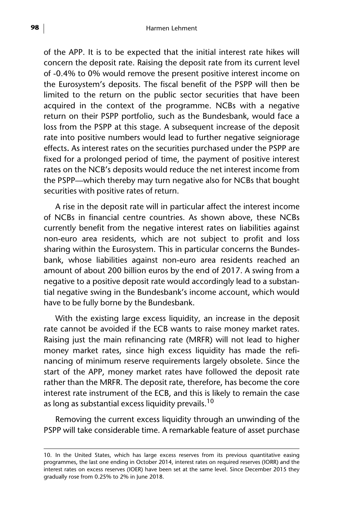of the APP. It is to be expected that the initial interest rate hikes will concern the deposit rate. Raising the deposit rate from its current level of -0.4% to 0% would remove the present positive interest income on the Eurosystem's deposits. The fiscal benefit of the PSPP will then be limited to the return on the public sector securities that have been acquired in the context of the programme. NCBs with a negative return on their PSPP portfolio, such as the Bundesbank, would face a loss from the PSPP at this stage. A subsequent increase of the deposit rate into positive numbers would lead to further negative seigniorage effects**.** As interest rates on the securities purchased under the PSPP are fixed for a prolonged period of time, the payment of positive interest rates on the NCB's deposits would reduce the net interest income from the PSPP—which thereby may turn negative also for NCBs that bought securities with positive rates of return.

A rise in the deposit rate will in particular affect the interest income of NCBs in financial centre countries. As shown above, these NCBs currently benefit from the negative interest rates on liabilities against non-euro area residents, which are not subject to profit and loss sharing within the Eurosystem. This in particular concerns the Bundesbank, whose liabilities against non-euro area residents reached an amount of about 200 billion euros by the end of 2017. A swing from a negative to a positive deposit rate would accordingly lead to a substantial negative swing in the Bundesbank's income account, which would have to be fully borne by the Bundesbank.

With the existing large excess liquidity, an increase in the deposit rate cannot be avoided if the ECB wants to raise money market rates. Raising just the main refinancing rate (MRFR) will not lead to higher money market rates, since high excess liquidity has made the refinancing of minimum reserve requirements largely obsolete. Since the start of the APP, money market rates have followed the deposit rate rather than the MRFR. The deposit rate, therefore, has become the core interest rate instrument of the ECB, and this is likely to remain the case as long as substantial excess liquidity prevails.<sup>10</sup>

Removing the current excess liquidity through an unwinding of the PSPP will take considerable time. A remarkable feature of asset purchase

<sup>10.</sup> In the United States, which has large excess reserves from its previous quantitative easing programmes, the last one ending in October 2014, interest rates on required reserves (IORR) and the interest rates on excess reserves (IOER) have been set at the same level. Since December 2015 they gradually rose from 0.25% to 2% in June 2018.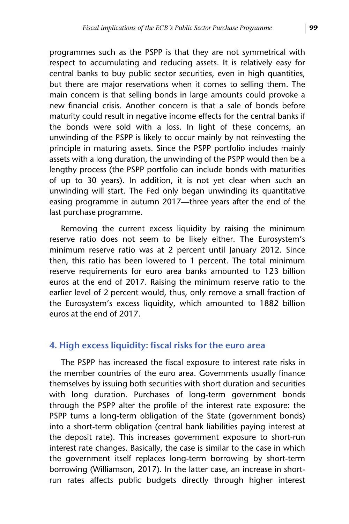programmes such as the PSPP is that they are not symmetrical with respect to accumulating and reducing assets. It is relatively easy for central banks to buy public sector securities, even in high quantities, but there are major reservations when it comes to selling them. The main concern is that selling bonds in large amounts could provoke a new financial crisis. Another concern is that a sale of bonds before maturity could result in negative income effects for the central banks if the bonds were sold with a loss. In light of these concerns, an unwinding of the PSPP is likely to occur mainly by not reinvesting the principle in maturing assets. Since the PSPP portfolio includes mainly assets with a long duration, the unwinding of the PSPP would then be a lengthy process (the PSPP portfolio can include bonds with maturities of up to 30 years). In addition, it is not yet clear when such an unwinding will start. The Fed only began unwinding its quantitative easing programme in autumn 2017—three years after the end of the last purchase programme.

Removing the current excess liquidity by raising the minimum reserve ratio does not seem to be likely either. The Eurosystem's minimum reserve ratio was at 2 percent until January 2012. Since then, this ratio has been lowered to 1 percent. The total minimum reserve requirements for euro area banks amounted to 123 billion euros at the end of 2017. Raising the minimum reserve ratio to the earlier level of 2 percent would, thus, only remove a small fraction of the Eurosystem's excess liquidity, which amounted to 1882 billion euros at the end of 2017.

# **4. High excess liquidity: fiscal risks for the euro area**

The PSPP has increased the fiscal exposure to interest rate risks in the member countries of the euro area. Governments usually finance themselves by issuing both securities with short duration and securities with long duration. Purchases of long-term government bonds through the PSPP alter the profile of the interest rate exposure: the PSPP turns a long-term obligation of the State (government bonds) into a short-term obligation (central bank liabilities paying interest at the deposit rate). This increases government exposure to short-run interest rate changes. Basically, the case is similar to the case in which the government itself replaces long-term borrowing by short-term borrowing (Williamson, 2017). In the latter case, an increase in shortrun rates affects public budgets directly through higher interest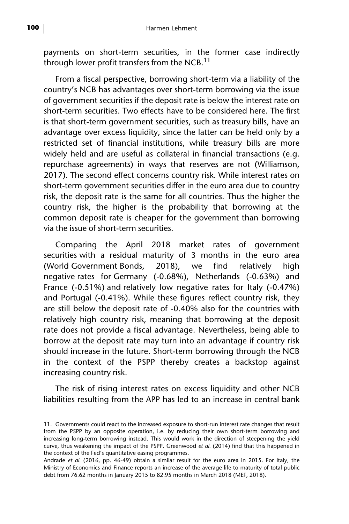payments on short-term securities, in the former case indirectly through lower profit transfers from the NCB. $<sup>11</sup>$ </sup>

From a fiscal perspective, borrowing short-term via a liability of the country's NCB has advantages over short-term borrowing via the issue of government securities if the deposit rate is below the interest rate on short-term securities. Two effects have to be considered here. The first is that short-term government securities, such as treasury bills, have an advantage over excess liquidity, since the latter can be held only by a restricted set of financial institutions, while treasury bills are more widely held and are useful as collateral in financial transactions (e.g. repurchase agreements) in ways that reserves are not (Williamson, 2017). The second effect concerns country risk. While interest rates on short-term government securities differ in the euro area due to country risk, the deposit rate is the same for all countries. Thus the higher the country risk, the higher is the probability that borrowing at the common deposit rate is cheaper for the government than borrowing via the issue of short-term securities.

Comparing the April 2018 market rates of government securities with a residual maturity of 3 months in the euro area (World Government Bonds, 2018), we find relatively high negative rates for Germany (-0.68%), Netherlands (-0.63%) and France (-0.51%) and relatively low negative rates for Italy (-0.47%) and Portugal (-0.41%). While these figures reflect country risk, they are still below the deposit rate of -0.40% also for the countries with relatively high country risk, meaning that borrowing at the deposit rate does not provide a fiscal advantage. Nevertheless, being able to borrow at the deposit rate may turn into an advantage if country risk should increase in the future. Short-term borrowing through the NCB in the context of the PSPP thereby creates a backstop against increasing country risk.

The risk of rising interest rates on excess liquidity and other NCB liabilities resulting from the APP has led to an increase in central bank

<sup>11.</sup> Governments could react to the increased exposure to short-run interest rate changes that result from the PSPP by an opposite operation, i.e. by reducing their own short-term borrowing and increasing long-term borrowing instead. This would work in the direction of steepening the yield curve, thus weakening the impact of the PSPP. Greenwood *et al.* (2014) find that this happened in the context of the Fed's quantitative easing programmes.

Andrade *et al.* (2016, pp. 46-49) obtain a similar result for the euro area in 2015. For Italy, the Ministry of Economics and Finance reports an increase of the average life to maturity of total public debt from 76.62 months in January 2015 to 82.95 months in March 2018 (MEF, 2018).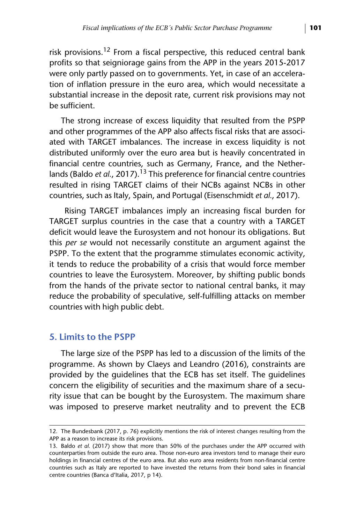risk provisions.<sup>12</sup> From a fiscal perspective, this reduced central bank profits so that seigniorage gains from the APP in the years 2015-2017 were only partly passed on to governments. Yet, in case of an acceleration of inflation pressure in the euro area, which would necessitate a substantial increase in the deposit rate, current risk provisions may not be sufficient.

The strong increase of excess liquidity that resulted from the PSPP and other programmes of the APP also affects fiscal risks that are associated with TARGET imbalances. The increase in excess liquidity is not distributed uniformly over the euro area but is heavily concentrated in financial centre countries, such as Germany, France, and the Netherlands (Baldo *et al.,* 2017).<sup>13</sup> This preference for financial centre countries resulted in rising TARGET claims of their NCBs against NCBs in other countries, such as Italy, Spain, and Portugal (Eisenschmidt *et al.*, 2017).

 Rising TARGET imbalances imply an increasing fiscal burden for TARGET surplus countries in the case that a country with a TARGET deficit would leave the Eurosystem and not honour its obligations. But this *per se* would not necessarily constitute an argument against the PSPP. To the extent that the programme stimulates economic activity, it tends to reduce the probability of a crisis that would force member countries to leave the Eurosystem. Moreover, by shifting public bonds from the hands of the private sector to national central banks, it may reduce the probability of speculative, self-fulfilling attacks on member countries with high public debt.

#### **5. Limits to the PSPP**

The large size of the PSPP has led to a discussion of the limits of the programme. As shown by Claeys and Leandro (2016), constraints are provided by the guidelines that the ECB has set itself. The guidelines concern the eligibility of securities and the maximum share of a security issue that can be bought by the Eurosystem. The maximum share was imposed to preserve market neutrality and to prevent the ECB

<sup>12.</sup> The Bundesbank (2017, p. 76) explicitly mentions the risk of interest changes resulting from the APP as a reason to increase its risk provisions.

<sup>13.</sup> Baldo *et al.* (2017) show that more than 50% of the purchases under the APP occurred with counterparties from outside the euro area. Those non-euro area investors tend to manage their euro holdings in financial centres of the euro area. But also euro area residents from non-financial centre countries such as Italy are reported to have invested the returns from their bond sales in financial centre countries (Banca d'Italia, 2017, p 14).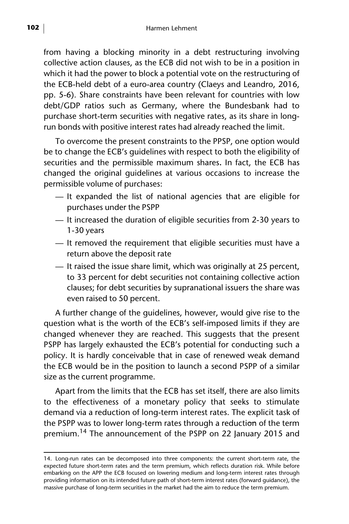from having a blocking minority in a debt restructuring involving collective action clauses, as the ECB did not wish to be in a position in which it had the power to block a potential vote on the restructuring of the ECB-held debt of a euro-area country (Claeys and Leandro, 2016, pp. 5-6). Share constraints have been relevant for countries with low debt/GDP ratios such as Germany, where the Bundesbank had to purchase short-term securities with negative rates, as its share in longrun bonds with positive interest rates had already reached the limit.

To overcome the present constraints to the PPSP, one option would be to change the ECB's guidelines with respect to both the eligibility of securities and the permissible maximum shares**.** In fact, the ECB has changed the original guidelines at various occasions to increase the permissible volume of purchases:

- It expanded the list of national agencies that are eligible for purchases under the PSPP
- It increased the duration of eligible securities from 2-30 years to 1-30 years
- It removed the requirement that eligible securities must have a return above the deposit rate
- It raised the issue share limit, which was originally at 25 percent, to 33 percent for debt securities not containing collective action clauses; for debt securities by supranational issuers the share was even raised to 50 percent.

A further change of the guidelines, however, would give rise to the question what is the worth of the ECB's self-imposed limits if they are changed whenever they are reached. This suggests that the present PSPP has largely exhausted the ECB's potential for conducting such a policy. It is hardly conceivable that in case of renewed weak demand the ECB would be in the position to launch a second PSPP of a similar size as the current programme.

Apart from the limits that the ECB has set itself, there are also limits to the effectiveness of a monetary policy that seeks to stimulate demand via a reduction of long-term interest rates. The explicit task of the PSPP was to lower long-term rates through a reduction of the term premium.14 The announcement of the PSPP on 22 January 2015 and

<sup>14.</sup> Long-run rates can be decomposed into three components: the current short-term rate, the expected future short-term rates and the term premium, which reflects duration risk. While before embarking on the APP the ECB focused on lowering medium and long-term interest rates through providing information on its intended future path of short-term interest rates (forward guidance), the massive purchase of long-term securities in the market had the aim to reduce the term premium.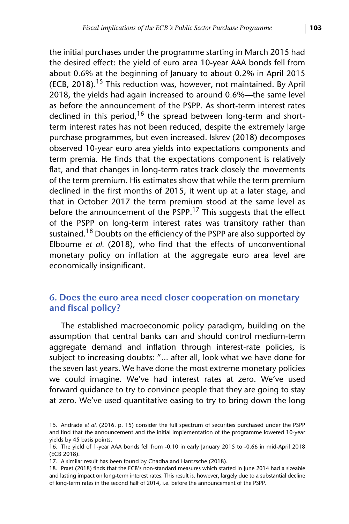the initial purchases under the programme starting in March 2015 had the desired effect: the yield of euro area 10-year AAA bonds fell from about 0.6% at the beginning of January to about 0.2% in April 2015 (ECB, 2018).<sup>15</sup> This reduction was, however, not maintained. By April 2018, the yields had again increased to around 0.6%—the same level as before the announcement of the PSPP. As short-term interest rates declined in this period,<sup>16</sup> the spread between long-term and shortterm interest rates has not been reduced, despite the extremely large purchase programmes, but even increased. Iskrev (2018) decomposes observed 10-year euro area yields into expectations components and term premia. He finds that the expectations component is relatively flat, and that changes in long-term rates track closely the movements of the term premium. His estimates show that while the term premium declined in the first months of 2015, it went up at a later stage, and that in October 2017 the term premium stood at the same level as before the announcement of the PSPP.<sup>17</sup> This suggests that the effect of the PSPP on long-term interest rates was transitory rather than sustained.<sup>18</sup> Doubts on the efficiency of the PSPP are also supported by Elbourne *et al.* (2018), who find that the effects of unconventional monetary policy on inflation at the aggregate euro area level are economically insignificant.

# **6. Does the euro area need closer cooperation on monetary and fiscal policy?**

The established macroeconomic policy paradigm, building on the assumption that central banks can and should control medium-term aggregate demand and inflation through interest-rate policies, is subject to increasing doubts: "... after all, look what we have done for the seven last years. We have done the most extreme monetary policies we could imagine. We've had interest rates at zero. We've used forward guidance to try to convince people that they are going to stay at zero. We've used quantitative easing to try to bring down the long

<sup>15.</sup> Andrade *et al.* (2016. p. 15) consider the full spectrum of securities purchased under the PSPP and find that the announcement and the initial implementation of the programme lowered 10-year yields by 45 basis points.

<sup>16.</sup> The yield of 1-year AAA bonds fell from -0.10 in early January 2015 to -0.66 in mid-April 2018 (ECB 2018).

<sup>17.</sup> A similar result has been found by Chadha and Hantzsche (2018).

<sup>18.</sup> Praet (2018) finds that the ECB's non-standard measures which started in June 2014 had a sizeable and lasting impact on long-term interest rates. This result is, however, largely due to a substantial decline of long-term rates in the second half of 2014, i.e. before the announcement of the PSPP.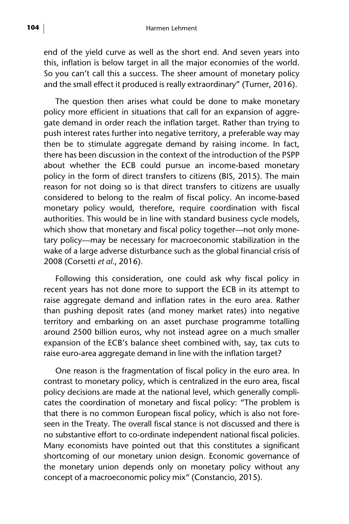end of the yield curve as well as the short end. And seven years into this, inflation is below target in all the major economies of the world. So you can't call this a success. The sheer amount of monetary policy and the small effect it produced is really extraordinary" (Turner, 2016).

The question then arises what could be done to make monetary policy more efficient in situations that call for an expansion of aggregate demand in order reach the inflation target. Rather than trying to push interest rates further into negative territory, a preferable way may then be to stimulate aggregate demand by raising income. In fact, there has been discussion in the context of the introduction of the PSPP about whether the ECB could pursue an income-based monetary policy in the form of direct transfers to citizens (BIS, 2015). The main reason for not doing so is that direct transfers to citizens are usually considered to belong to the realm of fiscal policy. An income-based monetary policy would, therefore, require coordination with fiscal authorities. This would be in line with standard business cycle models, which show that monetary and fiscal policy together—not only monetary policy—may be necessary for macroeconomic stabilization in the wake of a large adverse disturbance such as the global financial crisis of 2008 (Corsetti *et al.*, 2016).

Following this consideration, one could ask why fiscal policy in recent years has not done more to support the ECB in its attempt to raise aggregate demand and inflation rates in the euro area. Rather than pushing deposit rates (and money market rates) into negative territory and embarking on an asset purchase programme totalling around 2500 billion euros, why not instead agree on a much smaller expansion of the ECB's balance sheet combined with, say, tax cuts to raise euro-area aggregate demand in line with the inflation target?

One reason is the fragmentation of fiscal policy in the euro area. In contrast to monetary policy, which is centralized in the euro area, fiscal policy decisions are made at the national level, which generally complicates the coordination of monetary and fiscal policy: "The problem is that there is no common European fiscal policy, which is also not foreseen in the Treaty. The overall fiscal stance is not discussed and there is no substantive effort to co-ordinate independent national fiscal policies. Many economists have pointed out that this constitutes a significant shortcoming of our monetary union design. Economic governance of the monetary union depends only on monetary policy without any concept of a macroeconomic policy mix" (Constancio, 2015).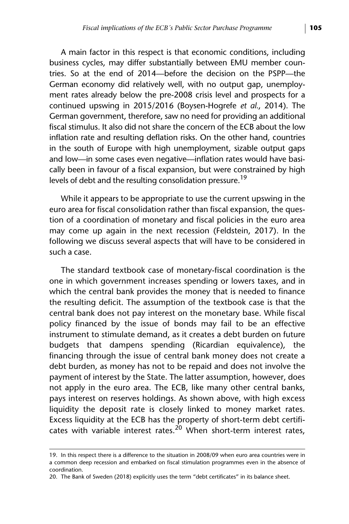A main factor in this respect is that economic conditions, including business cycles, may differ substantially between EMU member countries. So at the end of 2014—before the decision on the PSPP—the German economy did relatively well, with no output gap, unemployment rates already below the pre-2008 crisis level and prospects for a continued upswing in 2015/2016 (Boysen-Hogrefe *et al.*, 2014). The German government, therefore, saw no need for providing an additional fiscal stimulus. It also did not share the concern of the ECB about the low inflation rate and resulting deflation risks. On the other hand, countries in the south of Europe with high unemployment, sizable output gaps and low—in some cases even negative—inflation rates would have basically been in favour of a fiscal expansion, but were constrained by high levels of debt and the resulting consolidation pressure.<sup>19</sup>

While it appears to be appropriate to use the current upswing in the euro area for fiscal consolidation rather than fiscal expansion, the question of a coordination of monetary and fiscal policies in the euro area may come up again in the next recession (Feldstein, 2017). In the following we discuss several aspects that will have to be considered in such a case.

The standard textbook case of monetary-fiscal coordination is the one in which government increases spending or lowers taxes, and in which the central bank provides the money that is needed to finance the resulting deficit. The assumption of the textbook case is that the central bank does not pay interest on the monetary base. While fiscal policy financed by the issue of bonds may fail to be an effective instrument to stimulate demand, as it creates a debt burden on future budgets that dampens spending (Ricardian equivalence), the financing through the issue of central bank money does not create a debt burden, as money has not to be repaid and does not involve the payment of interest by the State. The latter assumption, however, does not apply in the euro area. The ECB, like many other central banks, pays interest on reserves holdings. As shown above, with high excess liquidity the deposit rate is closely linked to money market rates. Excess liquidity at the ECB has the property of short-term debt certificates with variable interest rates.<sup>20</sup> When short-term interest rates,

<sup>19.</sup> In this respect there is a difference to the situation in 2008/09 when euro area countries were in a common deep recession and embarked on fiscal stimulation programmes even in the absence of coordination.

<sup>20.</sup> The Bank of Sweden (2018) explicitly uses the term "debt certificates" in its balance sheet.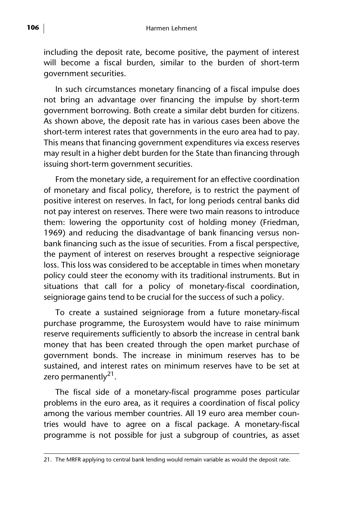including the deposit rate, become positive, the payment of interest will become a fiscal burden, similar to the burden of short-term government securities.

In such circumstances monetary financing of a fiscal impulse does not bring an advantage over financing the impulse by short-term government borrowing. Both create a similar debt burden for citizens. As shown above, the deposit rate has in various cases been above the short-term interest rates that governments in the euro area had to pay. This means that financing government expenditures via excess reserves may result in a higher debt burden for the State than financing through issuing short-term government securities.

From the monetary side, a requirement for an effective coordination of monetary and fiscal policy, therefore, is to restrict the payment of positive interest on reserves. In fact, for long periods central banks did not pay interest on reserves. There were two main reasons to introduce them: lowering the opportunity cost of holding money (Friedman, 1969) and reducing the disadvantage of bank financing versus nonbank financing such as the issue of securities. From a fiscal perspective, the payment of interest on reserves brought a respective seigniorage loss. This loss was considered to be acceptable in times when monetary policy could steer the economy with its traditional instruments. But in situations that call for a policy of monetary-fiscal coordination, seigniorage gains tend to be crucial for the success of such a policy.

To create a sustained seigniorage from a future monetary-fiscal purchase programme, the Eurosystem would have to raise minimum reserve requirements sufficiently to absorb the increase in central bank money that has been created through the open market purchase of government bonds. The increase in minimum reserves has to be sustained, and interest rates on minimum reserves have to be set at zero permanently $^{21}$ .

The fiscal side of a monetary-fiscal programme poses particular problems in the euro area, as it requires a coordination of fiscal policy among the various member countries. All 19 euro area member countries would have to agree on a fiscal package. A monetary-fiscal programme is not possible for just a subgroup of countries, as asset

<sup>21.</sup> The MRFR applying to central bank lending would remain variable as would the deposit rate.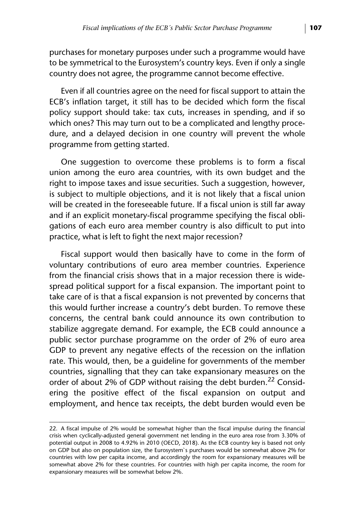purchases for monetary purposes under such a programme would have to be symmetrical to the Eurosystem's country keys. Even if only a single country does not agree, the programme cannot become effective.

Even if all countries agree on the need for fiscal support to attain the ECB's inflation target, it still has to be decided which form the fiscal policy support should take: tax cuts, increases in spending, and if so which ones? This may turn out to be a complicated and lengthy procedure, and a delayed decision in one country will prevent the whole programme from getting started.

One suggestion to overcome these problems is to form a fiscal union among the euro area countries, with its own budget and the right to impose taxes and issue securities. Such a suggestion, however, is subject to multiple objections, and it is not likely that a fiscal union will be created in the foreseeable future. If a fiscal union is still far away and if an explicit monetary-fiscal programme specifying the fiscal obligations of each euro area member country is also difficult to put into practice, what is left to fight the next major recession?

Fiscal support would then basically have to come in the form of voluntary contributions of euro area member countries. Experience from the financial crisis shows that in a major recession there is widespread political support for a fiscal expansion. The important point to take care of is that a fiscal expansion is not prevented by concerns that this would further increase a country's debt burden. To remove these concerns, the central bank could announce its own contribution to stabilize aggregate demand. For example, the ECB could announce a public sector purchase programme on the order of 2% of euro area GDP to prevent any negative effects of the recession on the inflation rate. This would, then, be a guideline for governments of the member countries, signalling that they can take expansionary measures on the order of about 2% of GDP without raising the debt burden.<sup>22</sup> Considering the positive effect of the fiscal expansion on output and employment, and hence tax receipts, the debt burden would even be

<sup>22.</sup> A fiscal impulse of 2% would be somewhat higher than the fiscal impulse during the financial crisis when cyclically-adjusted general government net lending in the euro area rose from 3.30% of potential output in 2008 to 4.92% in 2010 (OECD, 2018). As the ECB country key is based not only on GDP but also on population size, the Eurosystem`s purchases would be somewhat above 2% for countries with low per capita income, and accordingly the room for expansionary measures will be somewhat above 2% for these countries. For countries with high per capita income, the room for expansionary measures will be somewhat below 2%.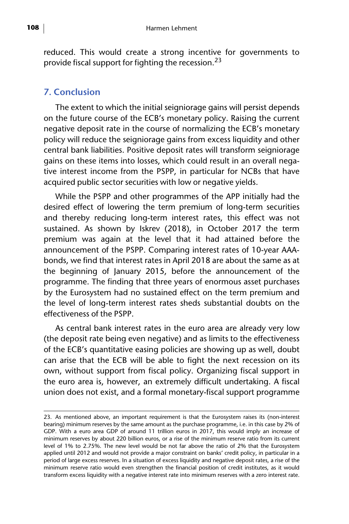reduced. This would create a strong incentive for governments to provide fiscal support for fighting the recession.  $23$ 

## **7. Conclusion**

The extent to which the initial seigniorage gains will persist depends on the future course of the ECB's monetary policy. Raising the current negative deposit rate in the course of normalizing the ECB's monetary policy will reduce the seigniorage gains from excess liquidity and other central bank liabilities. Positive deposit rates will transform seigniorage gains on these items into losses, which could result in an overall negative interest income from the PSPP, in particular for NCBs that have acquired public sector securities with low or negative yields.

While the PSPP and other programmes of the APP initially had the desired effect of lowering the term premium of long-term securities and thereby reducing long-term interest rates, this effect was not sustained. As shown by Iskrev (2018), in October 2017 the term premium was again at the level that it had attained before the announcement of the PSPP. Comparing interest rates of 10-year AAAbonds, we find that interest rates in April 2018 are about the same as at the beginning of January 2015, before the announcement of the programme. The finding that three years of enormous asset purchases by the Eurosystem had no sustained effect on the term premium and the level of long-term interest rates sheds substantial doubts on the effectiveness of the PSPP.

As central bank interest rates in the euro area are already very low (the deposit rate being even negative) and as limits to the effectiveness of the ECB's quantitative easing policies are showing up as well, doubt can arise that the ECB will be able to fight the next recession on its own, without support from fiscal policy. Organizing fiscal support in the euro area is, however, an extremely difficult undertaking. A fiscal union does not exist, and a formal monetary-fiscal support programme

<sup>23.</sup> As mentioned above, an important requirement is that the Eurosystem raises its (non-interest bearing) minimum reserves by the same amount as the purchase programme, i.e. in this case by 2% of GDP. With a euro area GDP of around 11 trillion euros in 2017, this would imply an increase of minimum reserves by about 220 billion euros, or a rise of the minimum reserve ratio from its current level of 1% to 2.75%. The new level would be not far above the ratio of 2% that the Eurosystem applied until 2012 and would not provide a major constraint on banks' credit policy, in particular in a period of large excess reserves. In a situation of excess liquidity and negative deposit rates, a rise of the minimum reserve ratio would even strengthen the financial position of credit institutes, as it would transform excess liquidity with a negative interest rate into minimum reserves with a zero interest rate.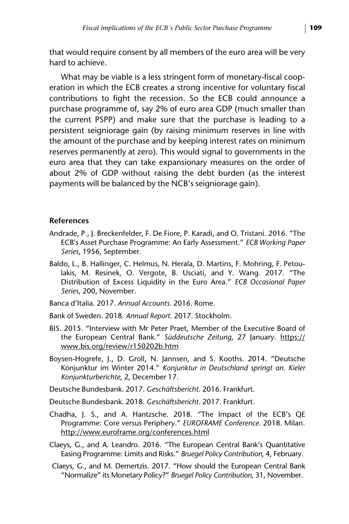that would require consent by all members of the euro area will be very hard to achieve.

What may be viable is a less stringent form of monetary-fiscal cooperation in which the ECB creates a strong incentive for voluntary fiscal contributions to fight the recession. So the ECB could announce a purchase programme of, say 2% of euro area GDP (much smaller than the current PSPP) and make sure that the purchase is leading to a persistent seigniorage gain (by raising minimum reserves in line with the amount of the purchase and by keeping interest rates on minimum reserves permanently at zero). This would signal to governments in the euro area that they can take expansionary measures on the order of about 2% of GDP without raising the debt burden (as the interest payments will be balanced by the NCB's seigniorage gain).

#### **References**

- Andrade, P., J. Breckenfelder, F. De Fiore, P. Karadi, and O. Tristani. 2016. "The ECB's Asset Purchase Programme: An Early Assessment." *ECB Working Paper Series*, 1956, September.
- Baldo, L., B. Hallinger, C. Helmus, N. Herala, D. Martins, F. Mohring, F. Petoulakis, M. Resinek, O. Vergote, B. Usciati, and Y. Wang. 2017. "The Distribution of Excess Liquidity in the Euro Area." *ECB Occasional Paper Series*, 200, November.
- Banca d'Italia. 2017. *Annual Accounts.* 2016. Rome.
- Bank of Sweden. 2018. *Annual Report.* 2017. Stockholm.
- BIS. 2015. "Interview with Mr Peter Praet, Member of the Executive Board of the European Central Bank." *Süddeutsche Zeitung*, 27 January. [https://](https://www.bis.org/review/r150202b.htm) [www.bis.org/review/r150202b.htm](https://www.bis.org/review/r150202b.htm)
- Boysen-Hogrefe, J., D. Groll, N. Jannsen, and S. Kooths. 2014. "Deutsche Konjunktur im Winter 2014." *Konjunktur in Deutschland springt an. Kieler Konjunkturberichte*, 2, December 17.
- Deutsche Bundesbank. 2017. *Geschäftsbericht*. 2016. Frankfurt.
- Deutsche Bundesbank. 2018. *Geschäftsbericht*. 2017. Frankfurt.
- Chadha, J. S., and A. Hantzsche. 2018. "The Impact of the ECB's QE Programme: Core versus Periphery." *EUROFRAME Conference.* 2018. Milan. <http://www.euroframe.org/conferences.html>
- Claeys, G., and A. Leandro. 2016. "The European Central Bank's Quantitative Easing Programme: Limits and Risks." *Bruegel Policy Contribution*, 4, February.
- Claeys, G., and M. Demertzis. 2017. "How should the European Central Bank "Normalize" its Monetary Policy?" *Bruegel Policy Contribution*, 31, November.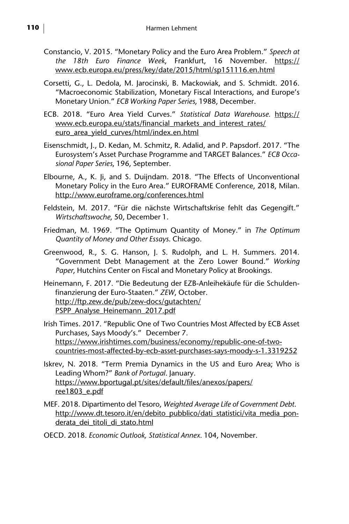- Constancio, V. 2015. "Monetary Policy and the Euro Area Problem." *Speech at the 18th Euro Finance Week*, Frankfurt, 16 November. [https://](https://www.ecb.europa.eu/press/key/date/2015/html/sp151116.en.html) [www.ecb.europa.eu/press/key/date/2015/html/sp151116.en.html](https://www.ecb.europa.eu/press/key/date/2015/html/sp151116.en.html)
- Corsetti, G., L. Dedola, M. Jarocinski, B. Mackowiak, and S. Schmidt. 2016. "Macroeconomic Stabilization, Monetary Fiscal Interactions, and Europe's Monetary Union." *ECB Working Paper Series*, 1988, December.
- ECB. 2018. "Euro Area Yield Curves." *Statistical Data Warehouse.* [https://](https://www.ecb.europa.eu/stats/financial_markets_and_interest_rates/euro_area_yield_curves/html/index.en.html) [www.ecb.europa.eu/stats/financial\\_markets\\_and\\_interest\\_rates/](https://www.ecb.europa.eu/stats/financial_markets_and_interest_rates/euro_area_yield_curves/html/index.en.html) [euro\\_area\\_yield\\_curves/html/index.en.html](https://www.ecb.europa.eu/stats/financial_markets_and_interest_rates/euro_area_yield_curves/html/index.en.html)
- Eisenschmidt, J., D. Kedan, M. Schmitz, R. Adalid, and P. Papsdorf. 2017. "The Eurosystem's Asset Purchase Programme and TARGET Balances." *ECB Occasional Paper Series*, 196, September.
- Elbourne, A., K. Ji, and S. Duijndam. 2018. "The Effects of Unconventional Monetary Policy in the Euro Area." EUROFRAME Conference, 2018, Milan. <http://www.euroframe.org/conferences.html>
- Feldstein, M. 2017. "Für die nächste Wirtschaftskrise fehlt das Gegengift." *Wirtschaftswoche*, 50, December 1.
- Friedman, M. 1969. "The Optimum Quantity of Money." in *The Optimum Quantity of Money and Other Essays*. Chicago.
- Greenwood, R., S. G. Hanson, J. S. Rudolph, and L. H. Summers. 2014. "Government Debt Management at the Zero Lower Bound." *Working Paper*, Hutchins Center on Fiscal and Monetary Policy at Brookings.
- Heinemann, F. 2017. "Die Bedeutung der EZB-Anleihekäufe für die Schuldenfinanzierung der Euro-Staaten." *ZEW*, October. [http://ftp.zew.de/pub/zew-docs/gutachten/](http://ftp.zew.de/pub/zew-docs/gutachten/PSPP_Analyse_Heinemann_2017.pdf) [PSPP\\_Analyse\\_Heinemann\\_2017.pdf](http://ftp.zew.de/pub/zew-docs/gutachten/PSPP_Analyse_Heinemann_2017.pdf)
- Irish Times. 2017. "Republic One of Two Countries Most Affected by ECB Asset Purchases, Says Moody's." December 7. [https://www.irishtimes.com/business/economy/republic-one-of-two](https://www.irishtimes.com/business/economy/republic-one-of-two-countries-most-affected-by-ecb-asset-purchases-says-moody-s-1.3319252)[countries-most-affected-by-ecb-asset-purchases-says-moody-s-1.3319252](https://www.irishtimes.com/business/economy/republic-one-of-two-countries-most-affected-by-ecb-asset-purchases-says-moody-s-1.3319252)
- Iskrev, N. 2018. "Term Premia Dynamics in the US and Euro Area; Who is Leading Whom?" *Bank of Portugal*. January. [https://www.bportugal.pt/sites/default/files/anexos/papers/](https://www.bportugal.pt/sites/default/files/anexos/papers/ree1803_e.pdf) ree1803\_e.pdf
- MEF. 2018. Dipartimento del Tesoro, *Weighted Average Life of Government Debt*. [http://www.dt.tesoro.it/en/debito\\_pubblico/dati\\_statistici/vita\\_media\\_pon](http://www.dt.tesoro.it/en/debito_pubblico/dati_statistici/vita_media_ponderata_dei_titoli_di_stato.html)[derata\\_dei\\_titoli\\_di\\_stato.html](http://www.dt.tesoro.it/en/debito_pubblico/dati_statistici/vita_media_ponderata_dei_titoli_di_stato.html)
- OECD. 2018. *Economic Outlook, Statistical Annex*. 104, November.